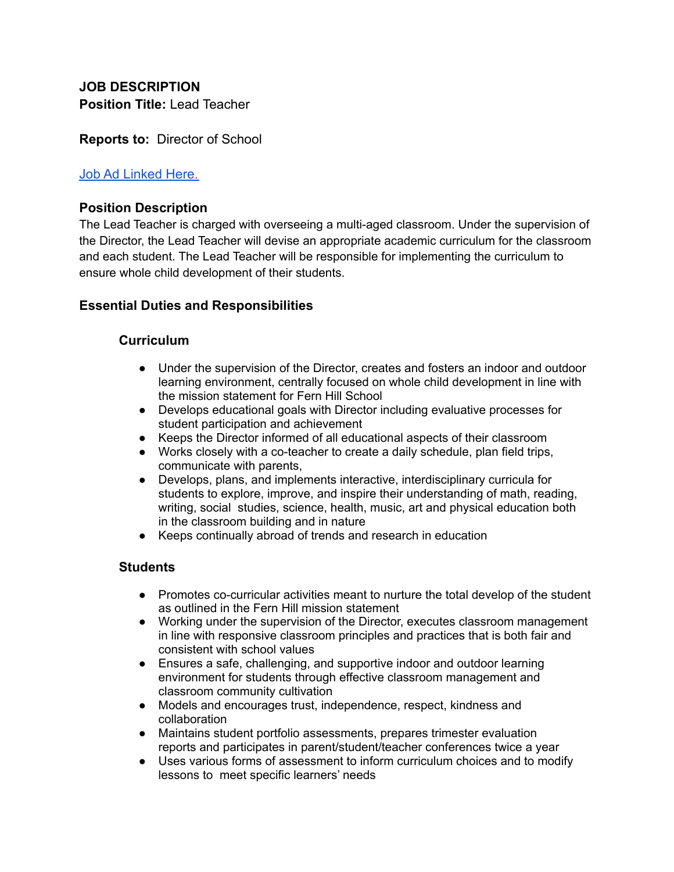# **JOB DESCRIPTION Position Title:** Lead Teacher

# **Reports to:** Director of School

### [Job Ad Linked Here.](https://docs.google.com/document/d/10VmqtiG_5xdNveQ6bpMIkIxLghqO3VkG/edit?usp=sharing&ouid=105562630959666037352&rtpof=true&sd=true)

### **Position Description**

The Lead Teacher is charged with overseeing a multi-aged classroom. Under the supervision of the Director, the Lead Teacher will devise an appropriate academic curriculum for the classroom and each student. The Lead Teacher will be responsible for implementing the curriculum to ensure whole child development of their students.

# **Essential Duties and Responsibilities**

### **Curriculum**

- Under the supervision of the Director, creates and fosters an indoor and outdoor learning environment, centrally focused on whole child development in line with the mission statement for Fern Hill School
- Develops educational goals with Director including evaluative processes for student participation and achievement
- Keeps the Director informed of all educational aspects of their classroom
- Works closely with a co-teacher to create a daily schedule, plan field trips, communicate with parents,
- Develops, plans, and implements interactive, interdisciplinary curricula for students to explore, improve, and inspire their understanding of math, reading, writing, social studies, science, health, music, art and physical education both in the classroom building and in nature
- Keeps continually abroad of trends and research in education

### **Students**

- Promotes co-curricular activities meant to nurture the total develop of the student as outlined in the Fern Hill mission statement
- Working under the supervision of the Director, executes classroom management in line with responsive classroom principles and practices that is both fair and consistent with school values
- Ensures a safe, challenging, and supportive indoor and outdoor learning environment for students through effective classroom management and classroom community cultivation
- Models and encourages trust, independence, respect, kindness and collaboration
- Maintains student portfolio assessments, prepares trimester evaluation reports and participates in parent/student/teacher conferences twice a year
- Uses various forms of assessment to inform curriculum choices and to modify lessons to meet specific learners' needs